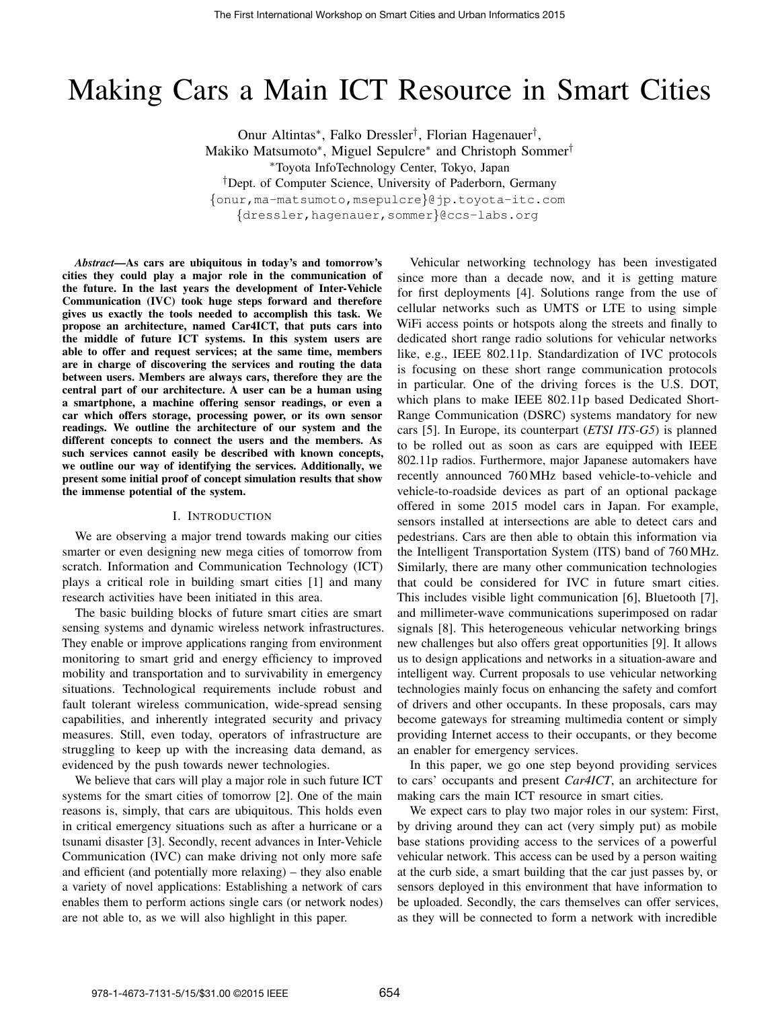# Making Cars a Main ICT Resource in Smart Cities

Onur Altintas<sup>∗</sup> , Falko Dressler† , Florian Hagenauer† , Makiko Matsumoto<sup>\*</sup>, Miguel Sepulcre<sup>\*</sup> and Christoph Sommer<sup>†</sup> <sup>∗</sup>Toyota InfoTechnology Center, Tokyo, Japan †Dept. of Computer Science, University of Paderborn, Germany {onur,ma-matsumoto,msepulcre}@jp.toyota-itc.com {dressler,hagenauer,sommer}@ccs-labs.org

*Abstract*—As cars are ubiquitous in today's and tomorrow's cities they could play a major role in the communication of the future. In the last years the development of Inter-Vehicle Communication (IVC) took huge steps forward and therefore gives us exactly the tools needed to accomplish this task. We propose an architecture, named Car4ICT, that puts cars into the middle of future ICT systems. In this system users are able to offer and request services; at the same time, members are in charge of discovering the services and routing the data between users. Members are always cars, therefore they are the central part of our architecture. A user can be a human using a smartphone, a machine offering sensor readings, or even a car which offers storage, processing power, or its own sensor readings. We outline the architecture of our system and the different concepts to connect the users and the members. As such services cannot easily be described with known concepts, we outline our way of identifying the services. Additionally, we present some initial proof of concept simulation results that show the immense potential of the system.

## I. INTRODUCTION

We are observing a major trend towards making our cities smarter or even designing new mega cities of tomorrow from scratch. Information and Communication Technology (ICT) plays a critical role in building smart cities [1] and many research activities have been initiated in this area.

The basic building blocks of future smart cities are smart sensing systems and dynamic wireless network infrastructures. They enable or improve applications ranging from environment monitoring to smart grid and energy efficiency to improved mobility and transportation and to survivability in emergency situations. Technological requirements include robust and fault tolerant wireless communication, wide-spread sensing capabilities, and inherently integrated security and privacy measures. Still, even today, operators of infrastructure are struggling to keep up with the increasing data demand, as evidenced by the push towards newer technologies.

We believe that cars will play a major role in such future ICT systems for the smart cities of tomorrow [2]. One of the main reasons is, simply, that cars are ubiquitous. This holds even in critical emergency situations such as after a hurricane or a tsunami disaster [3]. Secondly, recent advances in Inter-Vehicle Communication (IVC) can make driving not only more safe and efficient (and potentially more relaxing) – they also enable a variety of novel applications: Establishing a network of cars enables them to perform actions single cars (or network nodes) are not able to, as we will also highlight in this paper.

Vehicular networking technology has been investigated since more than a decade now, and it is getting mature for first deployments [4]. Solutions range from the use of cellular networks such as UMTS or LTE to using simple WiFi access points or hotspots along the streets and finally to dedicated short range radio solutions for vehicular networks like, e.g., IEEE 802.11p. Standardization of IVC protocols is focusing on these short range communication protocols in particular. One of the driving forces is the U.S. DOT, which plans to make IEEE 802.11p based Dedicated Short-Range Communication (DSRC) systems mandatory for new cars [5]. In Europe, its counterpart (*ETSI ITS-G5*) is planned to be rolled out as soon as cars are equipped with IEEE 802.11p radios. Furthermore, major Japanese automakers have recently announced 760 MHz based vehicle-to-vehicle and vehicle-to-roadside devices as part of an optional package offered in some 2015 model cars in Japan. For example, sensors installed at intersections are able to detect cars and pedestrians. Cars are then able to obtain this information via the Intelligent Transportation System (ITS) band of 760 MHz. Similarly, there are many other communication technologies that could be considered for IVC in future smart cities. This includes visible light communication [6], Bluetooth [7], and millimeter-wave communications superimposed on radar signals [8]. This heterogeneous vehicular networking brings new challenges but also offers great opportunities [9]. It allows us to design applications and networks in a situation-aware and intelligent way. Current proposals to use vehicular networking technologies mainly focus on enhancing the safety and comfort of drivers and other occupants. In these proposals, cars may become gateways for streaming multimedia content or simply providing Internet access to their occupants, or they become an enabler for emergency services.

In this paper, we go one step beyond providing services to cars' occupants and present *Car4ICT*, an architecture for making cars the main ICT resource in smart cities.

We expect cars to play two major roles in our system: First, by driving around they can act (very simply put) as mobile base stations providing access to the services of a powerful vehicular network. This access can be used by a person waiting at the curb side, a smart building that the car just passes by, or sensors deployed in this environment that have information to be uploaded. Secondly, the cars themselves can offer services, as they will be connected to form a network with incredible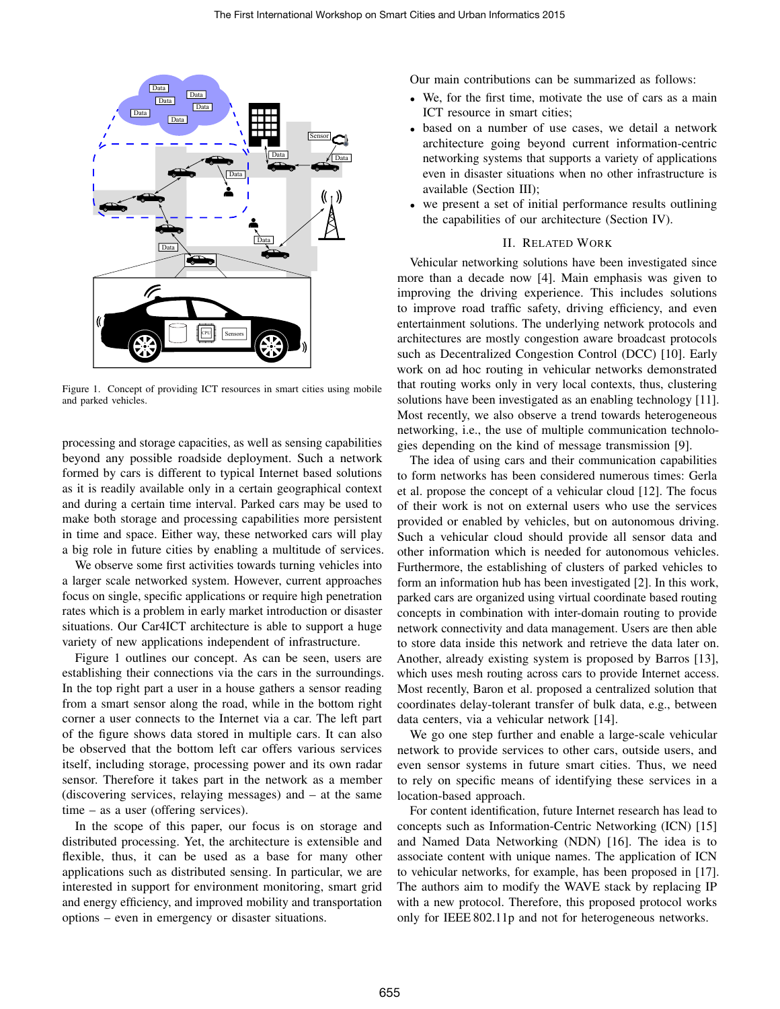

Figure 1. Concept of providing ICT resources in smart cities using mobile and parked vehicles.

processing and storage capacities, as well as sensing capabilities beyond any possible roadside deployment. Such a network formed by cars is different to typical Internet based solutions as it is readily available only in a certain geographical context and during a certain time interval. Parked cars may be used to make both storage and processing capabilities more persistent in time and space. Either way, these networked cars will play a big role in future cities by enabling a multitude of services.

We observe some first activities towards turning vehicles into a larger scale networked system. However, current approaches focus on single, specific applications or require high penetration rates which is a problem in early market introduction or disaster situations. Our Car4ICT architecture is able to support a huge variety of new applications independent of infrastructure.

Figure 1 outlines our concept. As can be seen, users are establishing their connections via the cars in the surroundings. In the top right part a user in a house gathers a sensor reading from a smart sensor along the road, while in the bottom right corner a user connects to the Internet via a car. The left part of the figure shows data stored in multiple cars. It can also be observed that the bottom left car offers various services itself, including storage, processing power and its own radar sensor. Therefore it takes part in the network as a member (discovering services, relaying messages) and – at the same time – as a user (offering services).

In the scope of this paper, our focus is on storage and distributed processing. Yet, the architecture is extensible and flexible, thus, it can be used as a base for many other applications such as distributed sensing. In particular, we are interested in support for environment monitoring, smart grid and energy efficiency, and improved mobility and transportation options – even in emergency or disaster situations.

Our main contributions can be summarized as follows:

- We, for the first time, motivate the use of cars as a main ICT resource in smart cities;
- based on a number of use cases, we detail a network architecture going beyond current information-centric networking systems that supports a variety of applications even in disaster situations when no other infrastructure is available (Section III);
- we present a set of initial performance results outlining the capabilities of our architecture (Section IV).

# II. RELATED WORK

Vehicular networking solutions have been investigated since more than a decade now [4]. Main emphasis was given to improving the driving experience. This includes solutions to improve road traffic safety, driving efficiency, and even entertainment solutions. The underlying network protocols and architectures are mostly congestion aware broadcast protocols such as Decentralized Congestion Control (DCC) [10]. Early work on ad hoc routing in vehicular networks demonstrated that routing works only in very local contexts, thus, clustering solutions have been investigated as an enabling technology [11]. Most recently, we also observe a trend towards heterogeneous networking, i.e., the use of multiple communication technologies depending on the kind of message transmission [9].

The idea of using cars and their communication capabilities to form networks has been considered numerous times: Gerla et al. propose the concept of a vehicular cloud [12]. The focus of their work is not on external users who use the services provided or enabled by vehicles, but on autonomous driving. Such a vehicular cloud should provide all sensor data and other information which is needed for autonomous vehicles. Furthermore, the establishing of clusters of parked vehicles to form an information hub has been investigated [2]. In this work, parked cars are organized using virtual coordinate based routing concepts in combination with inter-domain routing to provide network connectivity and data management. Users are then able to store data inside this network and retrieve the data later on. Another, already existing system is proposed by Barros [13], which uses mesh routing across cars to provide Internet access. Most recently, Baron et al. proposed a centralized solution that coordinates delay-tolerant transfer of bulk data, e.g., between data centers, via a vehicular network [14].

We go one step further and enable a large-scale vehicular network to provide services to other cars, outside users, and even sensor systems in future smart cities. Thus, we need to rely on specific means of identifying these services in a location-based approach.

For content identification, future Internet research has lead to concepts such as Information-Centric Networking (ICN) [15] and Named Data Networking (NDN) [16]. The idea is to associate content with unique names. The application of ICN to vehicular networks, for example, has been proposed in [17]. The authors aim to modify the WAVE stack by replacing IP with a new protocol. Therefore, this proposed protocol works only for IEEE 802.11p and not for heterogeneous networks.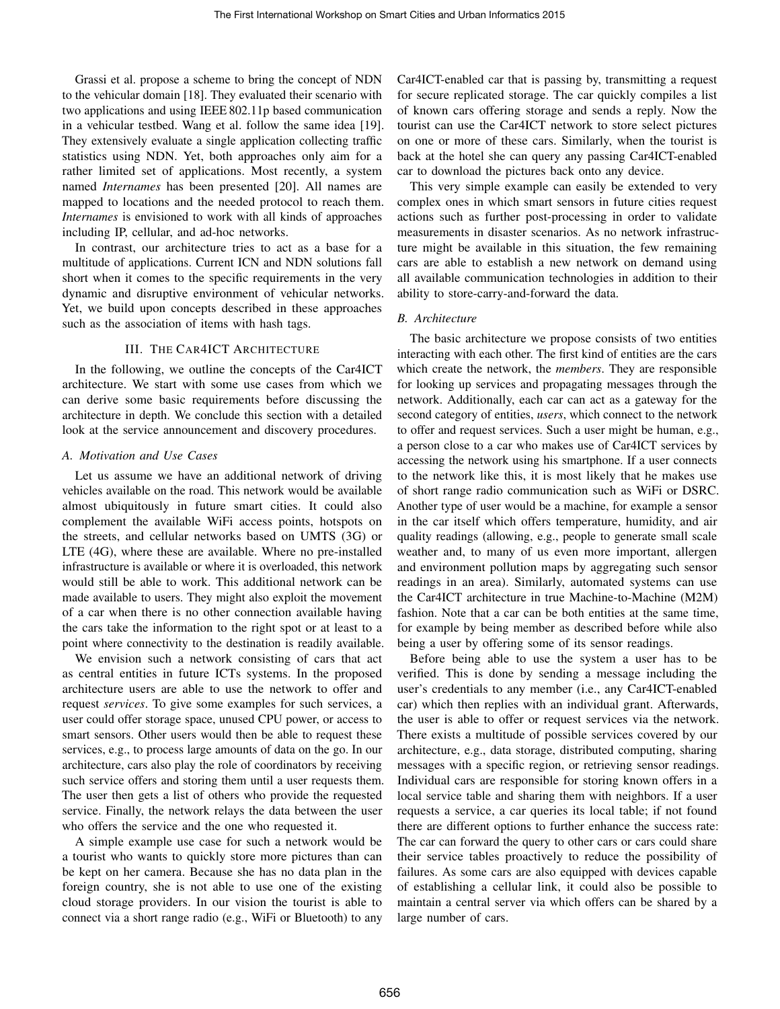Grassi et al. propose a scheme to bring the concept of NDN to the vehicular domain [18]. They evaluated their scenario with two applications and using IEEE 802.11p based communication in a vehicular testbed. Wang et al. follow the same idea [19]. They extensively evaluate a single application collecting traffic statistics using NDN. Yet, both approaches only aim for a rather limited set of applications. Most recently, a system named *Internames* has been presented [20]. All names are mapped to locations and the needed protocol to reach them. *Internames* is envisioned to work with all kinds of approaches including IP, cellular, and ad-hoc networks.

In contrast, our architecture tries to act as a base for a multitude of applications. Current ICN and NDN solutions fall short when it comes to the specific requirements in the very dynamic and disruptive environment of vehicular networks. Yet, we build upon concepts described in these approaches such as the association of items with hash tags.

# III. THE CAR4ICT ARCHITECTURE

In the following, we outline the concepts of the Car4ICT architecture. We start with some use cases from which we can derive some basic requirements before discussing the architecture in depth. We conclude this section with a detailed look at the service announcement and discovery procedures.

### *A. Motivation and Use Cases*

Let us assume we have an additional network of driving vehicles available on the road. This network would be available almost ubiquitously in future smart cities. It could also complement the available WiFi access points, hotspots on the streets, and cellular networks based on UMTS (3G) or LTE (4G), where these are available. Where no pre-installed infrastructure is available or where it is overloaded, this network would still be able to work. This additional network can be made available to users. They might also exploit the movement of a car when there is no other connection available having the cars take the information to the right spot or at least to a point where connectivity to the destination is readily available.

We envision such a network consisting of cars that act as central entities in future ICTs systems. In the proposed architecture users are able to use the network to offer and request *services*. To give some examples for such services, a user could offer storage space, unused CPU power, or access to smart sensors. Other users would then be able to request these services, e.g., to process large amounts of data on the go. In our architecture, cars also play the role of coordinators by receiving such service offers and storing them until a user requests them. The user then gets a list of others who provide the requested service. Finally, the network relays the data between the user who offers the service and the one who requested it.

A simple example use case for such a network would be a tourist who wants to quickly store more pictures than can be kept on her camera. Because she has no data plan in the foreign country, she is not able to use one of the existing cloud storage providers. In our vision the tourist is able to connect via a short range radio (e.g., WiFi or Bluetooth) to any Car4ICT-enabled car that is passing by, transmitting a request for secure replicated storage. The car quickly compiles a list of known cars offering storage and sends a reply. Now the tourist can use the Car4ICT network to store select pictures on one or more of these cars. Similarly, when the tourist is back at the hotel she can query any passing Car4ICT-enabled car to download the pictures back onto any device.

This very simple example can easily be extended to very complex ones in which smart sensors in future cities request actions such as further post-processing in order to validate measurements in disaster scenarios. As no network infrastructure might be available in this situation, the few remaining cars are able to establish a new network on demand using all available communication technologies in addition to their ability to store-carry-and-forward the data.

## *B. Architecture*

The basic architecture we propose consists of two entities interacting with each other. The first kind of entities are the cars which create the network, the *members*. They are responsible for looking up services and propagating messages through the network. Additionally, each car can act as a gateway for the second category of entities, *users*, which connect to the network to offer and request services. Such a user might be human, e.g., a person close to a car who makes use of Car4ICT services by accessing the network using his smartphone. If a user connects to the network like this, it is most likely that he makes use of short range radio communication such as WiFi or DSRC. Another type of user would be a machine, for example a sensor in the car itself which offers temperature, humidity, and air quality readings (allowing, e.g., people to generate small scale weather and, to many of us even more important, allergen and environment pollution maps by aggregating such sensor readings in an area). Similarly, automated systems can use the Car4ICT architecture in true Machine-to-Machine (M2M) fashion. Note that a car can be both entities at the same time, for example by being member as described before while also being a user by offering some of its sensor readings.

Before being able to use the system a user has to be verified. This is done by sending a message including the user's credentials to any member (i.e., any Car4ICT-enabled car) which then replies with an individual grant. Afterwards, the user is able to offer or request services via the network. There exists a multitude of possible services covered by our architecture, e.g., data storage, distributed computing, sharing messages with a specific region, or retrieving sensor readings. Individual cars are responsible for storing known offers in a local service table and sharing them with neighbors. If a user requests a service, a car queries its local table; if not found there are different options to further enhance the success rate: The car can forward the query to other cars or cars could share their service tables proactively to reduce the possibility of failures. As some cars are also equipped with devices capable of establishing a cellular link, it could also be possible to maintain a central server via which offers can be shared by a large number of cars.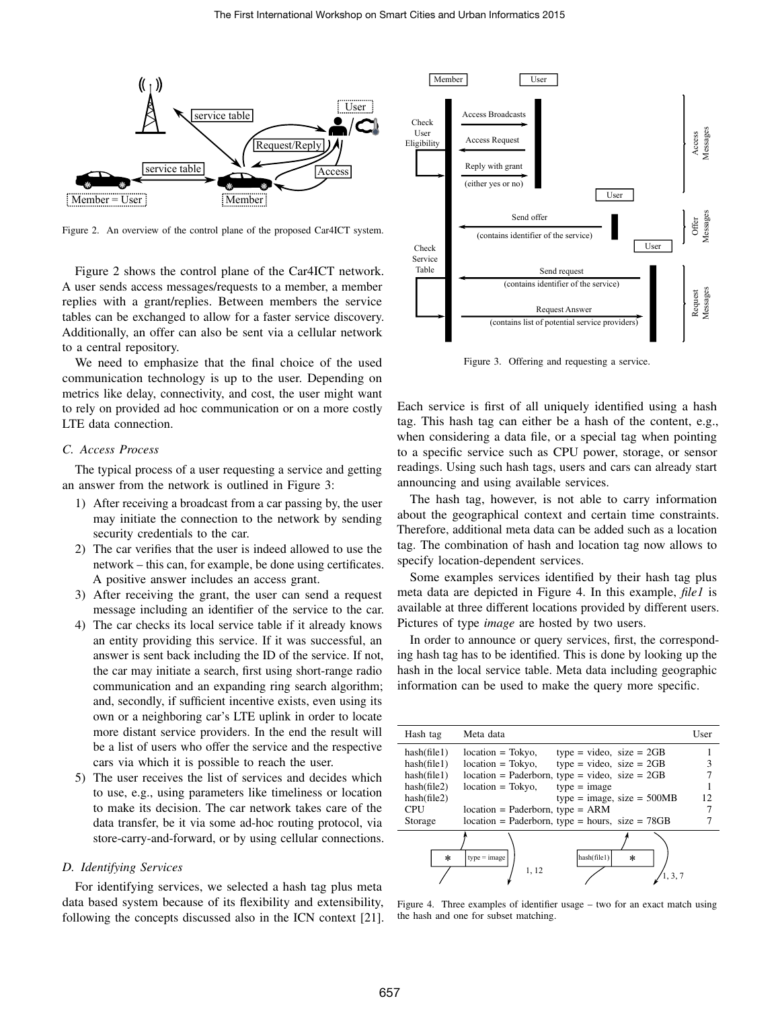

Figure 2. An overview of the control plane of the proposed Car4ICT system.

Figure 2 shows the control plane of the Car4ICT network. A user sends access messages/requests to a member, a member replies with a grant/replies. Between members the service tables can be exchanged to allow for a faster service discovery. Additionally, an offer can also be sent via a cellular network to a central repository.

We need to emphasize that the final choice of the used communication technology is up to the user. Depending on metrics like delay, connectivity, and cost, the user might want to rely on provided ad hoc communication or on a more costly LTE data connection.

# *C. Access Process*

The typical process of a user requesting a service and getting an answer from the network is outlined in Figure 3:

- 1) After receiving a broadcast from a car passing by, the user may initiate the connection to the network by sending security credentials to the car.
- 2) The car verifies that the user is indeed allowed to use the network – this can, for example, be done using certificates. A positive answer includes an access grant.
- 3) After receiving the grant, the user can send a request message including an identifier of the service to the car.
- 4) The car checks its local service table if it already knows an entity providing this service. If it was successful, an answer is sent back including the ID of the service. If not, the car may initiate a search, first using short-range radio communication and an expanding ring search algorithm; and, secondly, if sufficient incentive exists, even using its own or a neighboring car's LTE uplink in order to locate more distant service providers. In the end the result will be a list of users who offer the service and the respective cars via which it is possible to reach the user.
- 5) The user receives the list of services and decides which to use, e.g., using parameters like timeliness or location to make its decision. The car network takes care of the data transfer, be it via some ad-hoc routing protocol, via store-carry-and-forward, or by using cellular connections.

## *D. Identifying Services*

For identifying services, we selected a hash tag plus meta data based system because of its flexibility and extensibility, following the concepts discussed also in the ICN context [21].



Figure 3. Offering and requesting a service.

Each service is first of all uniquely identified using a hash tag. This hash tag can either be a hash of the content, e.g., when considering a data file, or a special tag when pointing to a specific service such as CPU power, storage, or sensor readings. Using such hash tags, users and cars can already start announcing and using available services.

The hash tag, however, is not able to carry information about the geographical context and certain time constraints. Therefore, additional meta data can be added such as a location tag. The combination of hash and location tag now allows to specify location-dependent services.

Some examples services identified by their hash tag plus meta data are depicted in Figure 4. In this example, *file1* is available at three different locations provided by different users. Pictures of type *image* are hosted by two users.

In order to announce or query services, first, the corresponding hash tag has to be identified. This is done by looking up the hash in the local service table. Meta data including geographic information can be used to make the query more specific.

| Hash tag    | Meta data                                                   | User |
|-------------|-------------------------------------------------------------|------|
| hash(file1) | $type = video$ , $size = 2GB$<br>$location = Tokyo$ ,       |      |
| hash(file1) | $type = video$ , size = 2GB<br>$location = Tokyo,$          |      |
| hash(file1) | $location = Paderborn, type = video, size = 2GB$            |      |
| hash(file2) | $type = image$<br>$location = Tokyo$ ,                      |      |
| hashfile2)  | type = image, size = $500MB$                                | 12.  |
| <b>CPU</b>  | $location = Paderborn, type = ARM$                          |      |
| Storage     | $location = Paderborn, type = hours, size = 78GB$           |      |
| $\ast$      | hash(file1)<br>$type = image$<br>$\ast$<br>1, 12<br>1, 3, 7 |      |

Figure 4. Three examples of identifier usage – two for an exact match using the hash and one for subset matching.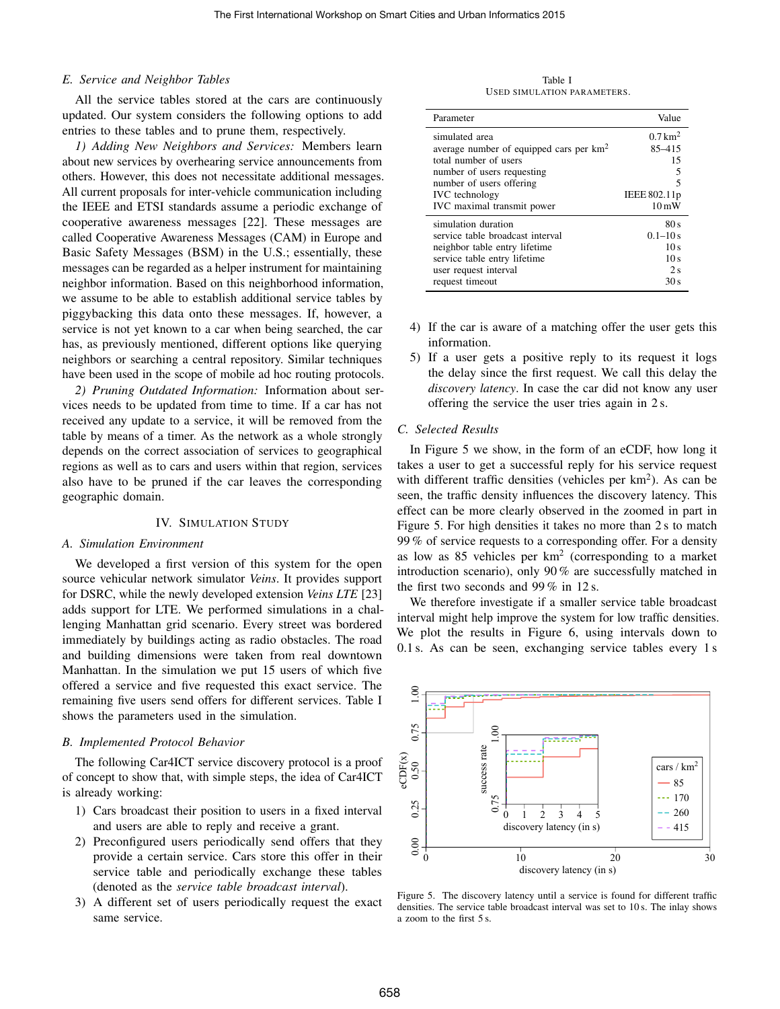## *E. Service and Neighbor Tables*

All the service tables stored at the cars are continuously updated. Our system considers the following options to add entries to these tables and to prune them, respectively.

*1) Adding New Neighbors and Services:* Members learn about new services by overhearing service announcements from others. However, this does not necessitate additional messages. All current proposals for inter-vehicle communication including the IEEE and ETSI standards assume a periodic exchange of cooperative awareness messages [22]. These messages are called Cooperative Awareness Messages (CAM) in Europe and Basic Safety Messages (BSM) in the U.S.; essentially, these messages can be regarded as a helper instrument for maintaining neighbor information. Based on this neighborhood information, we assume to be able to establish additional service tables by piggybacking this data onto these messages. If, however, a service is not yet known to a car when being searched, the car has, as previously mentioned, different options like querying neighbors or searching a central repository. Similar techniques have been used in the scope of mobile ad hoc routing protocols.

*2) Pruning Outdated Information:* Information about services needs to be updated from time to time. If a car has not received any update to a service, it will be removed from the table by means of a timer. As the network as a whole strongly depends on the correct association of services to geographical regions as well as to cars and users within that region, services also have to be pruned if the car leaves the corresponding geographic domain.

#### IV. SIMULATION STUDY

#### *A. Simulation Environment*

We developed a first version of this system for the open source vehicular network simulator *Veins*. It provides support for DSRC, while the newly developed extension *Veins LTE* [23] adds support for LTE. We performed simulations in a challenging Manhattan grid scenario. Every street was bordered immediately by buildings acting as radio obstacles. The road and building dimensions were taken from real downtown Manhattan. In the simulation we put 15 users of which five offered a service and five requested this exact service. The remaining five users send offers for different services. Table I shows the parameters used in the simulation.

#### *B. Implemented Protocol Behavior*

The following Car4ICT service discovery protocol is a proof of concept to show that, with simple steps, the idea of Car4ICT is already working:

- 1) Cars broadcast their position to users in a fixed interval and users are able to reply and receive a grant.
- 2) Preconfigured users periodically send offers that they provide a certain service. Cars store this offer in their service table and periodically exchange these tables (denoted as the *service table broadcast interval*).
- 3) A different set of users periodically request the exact same service.

Table I USED SIMULATION PARAMETERS.

| Parameter                                           | Value                 |  |
|-----------------------------------------------------|-----------------------|--|
| simulated area                                      | $0.7$ km <sup>2</sup> |  |
| average number of equipped cars per km <sup>2</sup> | $85 - 415$            |  |
| total number of users                               | 15                    |  |
| number of users requesting                          |                       |  |
| number of users offering                            | 5                     |  |
| <b>IVC</b> technology                               | IEEE 802.11p          |  |
| IVC maximal transmit power                          | $10 \,\mathrm{mW}$    |  |
| simulation duration                                 | 80s                   |  |
| service table broadcast interval                    | $0.1 - 10 s$          |  |
| neighbor table entry lifetime                       | 10 <sub>s</sub>       |  |
| service table entry lifetime                        | 10 <sub>s</sub>       |  |
| user request interval                               | 2s                    |  |
| request timeout                                     | 30 s                  |  |

- 4) If the car is aware of a matching offer the user gets this information.
- 5) If a user gets a positive reply to its request it logs the delay since the first request. We call this delay the *discovery latency*. In case the car did not know any user offering the service the user tries again in 2 s.

## *C. Selected Results*

In Figure 5 we show, in the form of an eCDF, how long it takes a user to get a successful reply for his service request with different traffic densities (vehicles per  $km<sup>2</sup>$ ). As can be seen, the traffic density influences the discovery latency. This effect can be more clearly observed in the zoomed in part in Figure 5. For high densities it takes no more than 2 s to match 99 % of service requests to a corresponding offer. For a density as low as 85 vehicles per  $km^2$  (corresponding to a market introduction scenario), only 90 % are successfully matched in the first two seconds and 99 % in 12 s.

We therefore investigate if a smaller service table broadcast interval might help improve the system for low traffic densities. We plot the results in Figure 6, using intervals down to 0.1 s. As can be seen, exchanging service tables every 1 s



Figure 5. The discovery latency until a service is found for different traffic densities. The service table broadcast interval was set to 10 s. The inlay shows a zoom to the first 5 s.